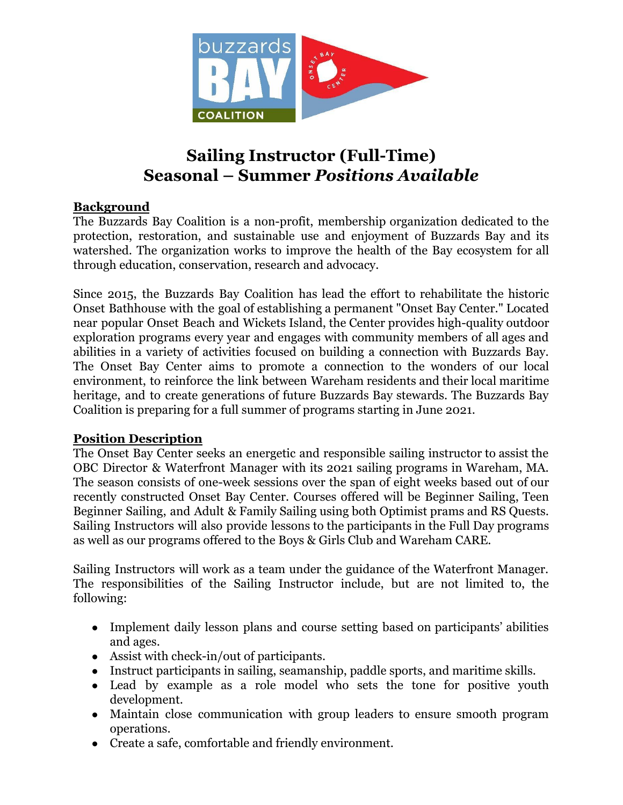

# **Sailing Instructor (Full-Time) Seasonal – Summer** *Positions Available*

## **Background**

The Buzzards Bay Coalition is a non-profit, membership organization dedicated to the protection, restoration, and sustainable use and enjoyment of Buzzards Bay and its watershed. The organization works to improve the health of the Bay ecosystem for all through education, conservation, research and advocacy.

Since 2015, the Buzzards Bay Coalition has lead the effort to rehabilitate the historic Onset Bathhouse with the goal of establishing a permanent "Onset Bay Center." Located near popular Onset Beach and Wickets Island, the Center provides high-quality outdoor exploration programs every year and engages with community members of all ages and abilities in a variety of activities focused on building a connection with Buzzards Bay. The Onset Bay Center aims to promote a connection to the wonders of our local environment, to reinforce the link between Wareham residents and their local maritime heritage, and to create generations of future Buzzards Bay stewards. The Buzzards Bay Coalition is preparing for a full summer of programs starting in June 2021.

### **Position Description**

The Onset Bay Center seeks an energetic and responsible sailing instructor to assist the OBC Director & Waterfront Manager with its 2021 sailing programs in Wareham, MA. The season consists of one-week sessions over the span of eight weeks based out of our recently constructed Onset Bay Center. Courses offered will be Beginner Sailing, Teen Beginner Sailing, and Adult & Family Sailing using both Optimist prams and RS Quests. Sailing Instructors will also provide lessons to the participants in the Full Day programs as well as our programs offered to the Boys & Girls Club and Wareham CARE.

Sailing Instructors will work as a team under the guidance of the Waterfront Manager. The responsibilities of the Sailing Instructor include, but are not limited to, the following:

- Implement daily lesson plans and course setting based on participants' abilities and ages.
- Assist with check-in/out of participants.
- Instruct participants in sailing, seamanship, paddle sports, and maritime skills.
- Lead by example as a role model who sets the tone for positive youth development.
- Maintain close communication with group leaders to ensure smooth program operations.
- Create a safe, comfortable and friendly environment.